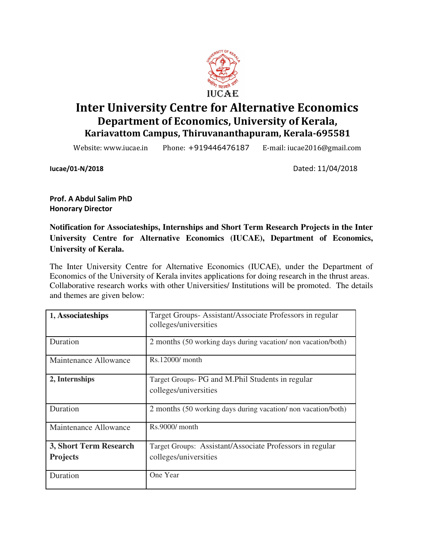

# Inter University Centre for Alternative Economics Department of Economics, University of Kerala, Kariavattom Campus, Thiruvananthapuram, Kerala-695581

Website: www.iucae.in Phone: +919446476187 E-mail: iucae2016@gmail.com

Iucae/01-N/2018 Dated: 11/04/2018

Prof. A Abdul Salim PhD Honorary Director

**Notification for Associateships, Internships and Short Term Research Projects in the Inter University Centre for Alternative Economics (IUCAE), Department of Economics, University of Kerala.** 

The Inter University Centre for Alternative Economics (IUCAE), under the Department of Economics of the University of Kerala invites applications for doing research in the thrust areas. Collaborative research works with other Universities/ Institutions will be promoted. The details and themes are given below:

| 1, Associateships                         | Target Groups-Assistant/Associate Professors in regular<br>colleges/universities  |
|-------------------------------------------|-----------------------------------------------------------------------------------|
| Duration                                  | 2 months (50 working days during vacation/non vacation/both)                      |
| Maintenance Allowance                     | Rs.12000/ month                                                                   |
| 2, Internships                            | Target Groups- PG and M.Phil Students in regular<br>colleges/universities         |
| Duration                                  | 2 months (50 working days during vacation/non vacation/both)                      |
| Maintenance Allowance                     | Rs.9000/ month                                                                    |
| 3, Short Term Research<br><b>Projects</b> | Target Groups: Assistant/Associate Professors in regular<br>colleges/universities |
| Duration                                  | One Year                                                                          |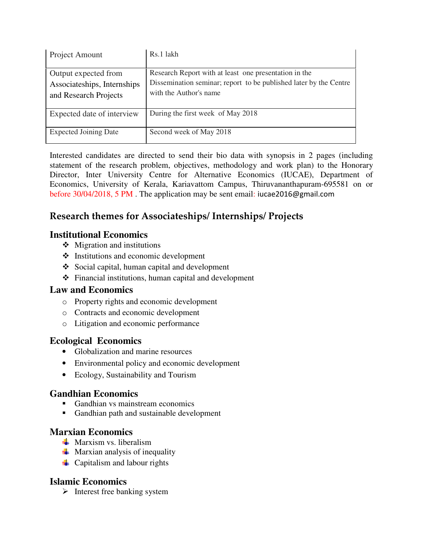| Project Amount                                                               | Rs.1 lakh                                                                                                                                            |
|------------------------------------------------------------------------------|------------------------------------------------------------------------------------------------------------------------------------------------------|
| Output expected from<br>Associateships, Internships<br>and Research Projects | Research Report with at least one presentation in the<br>Dissemination seminar; report to be published later by the Centre<br>with the Author's name |
| Expected date of interview                                                   | During the first week of May 2018                                                                                                                    |
| <b>Expected Joining Date</b>                                                 | Second week of May 2018                                                                                                                              |

Interested candidates are directed to send their bio data with synopsis in 2 pages (including statement of the research problem, objectives, methodology and work plan) to the Honorary Director, Inter University Centre for Alternative Economics (IUCAE), Department of Economics, University of Kerala, Kariavattom Campus, Thiruvananthapuram-695581 on or before 30/04/2018, 5 PM . The application may be sent email: iucae2016@gmail.com

## Research themes for Associateships/ Internships/ Projects

#### **Institutional Economics**

- $\triangleleft$  Migration and institutions
- $\triangle$  Institutions and economic development
- Social capital, human capital and development
- Financial institutions, human capital and development

## **Law and Economics**

- o Property rights and economic development
- o Contracts and economic development
- o Litigation and economic performance

## **Ecological Economics**

- Globalization and marine resources
- Environmental policy and economic development
- Ecology, Sustainability and Tourism

## **Gandhian Economics**

- -Gandhian vs mainstream economics
- **Gandhian path and sustainable development**

#### **Marxian Economics**

- $\frac{1}{\sqrt{2}}$  Marxism vs. liberalism
- $\frac{1}{\sqrt{2}}$  Marxian analysis of inequality
- $\downarrow$  Capitalism and labour rights

#### **Islamic Economics**

 $\triangleright$  Interest free banking system